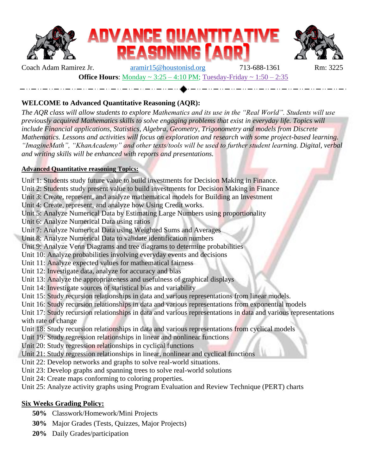

**Office Hours:** Monday  $\sim 3:25 - 4:10$  PM; [Tuesday-Friday](https://teams.microsoft.com/l/meetup-join/19%3ameeting_YjVjYmRkYjItNmUxZi00ZjQ2LTlmNDgtMGMzOWMwYzNlNTMw%40thread.v2/0?context=%7b%22Tid%22%3a%22f5eb9966-9336-4b33-8895-9982425b13ed%22%2c%22Oid%22%3a%2299dd5439-3dd0-4482-9724-edb5f237082a%22%7d)  $\sim 1:50 - 2:35$ 

**WELCOME to Advanced Quantitative Reasoning (AQR):**

*The AQR class will allow students to explore Mathematics and its use in the "Real World". Students will use previously acquired Mathematics skills to solve engaging problems that exist in everyday life. Topics will include Financial applications, Statistics, Algebra, Geometry, Trigonometry and models from Discrete Mathematics. Lessons and activities will focus on exploration and research with some project-based learning. "ImagineMath", "KhanAcademy" and other texts/tools will be used to further student learning. Digital, verbal and writing skills will be enhanced with reports and presentations.*

# **Advanced Quantitative reasoning Topics:**

Unit 1: Students study future value to build investments for Decision Making in Finance.

Unit 2: Students study present value to build investments for Decision Making in Finance

Unit 3: Create, represent, and analyze mathematical models for Building an Investment

Unit 4: Create, represent, and analyze how Using Credit works.

Unit 5: Analyze Numerical Data by Estimating Large Numbers using proportionality

Unit 6: Analyze Numerical Data using ratios

Unit 7: Analyze Numerical Data using Weighted Sums and Averages

Unit 8: Analyze Numerical Data to validate identification numbers

Unit 9: Analyze Venn Diagrams and tree diagrams to determine probabilities

Unit 10: Analyze probabilities involving everyday events and decisions

Unit 11: Analyze expected values for mathematical fairness

Unit 12: Investigate data, analyze for accuracy and bias

Unit 13: Analyze the appropriateness and usefulness of graphical displays

Unit 14: Investigate sources of statistical bias and variability

Unit 15: Study recursion relationships in data and various representations from linear models.

Unit 16: Study recursion relationships in data and various representations from exponential models

Unit 17: Study recursion relationships in data and various representations in data and various representations with rate of change

Unit 18: Study recursion relationships in data and various representations from cyclical models

Unit 19: Study regression relationships in linear and nonlinear functions

Unit 20: Study regression relationships in cyclical functions

Unit 21: Study regression relationships in linear, nonlinear and cyclical functions

Unit 22: Develop networks and graphs to solve real-world situations.

Unit 23: Develop graphs and spanning trees to solve real-world solutions

Unit 24: Create maps conforming to coloring properties.

Unit 25: Analyze activity graphs using Program Evaluation and Review Technique (PERT) charts

# **Six Weeks Grading Policy:**

 **50%** Classwork/Homework/Mini Projects

 **30%** Major Grades (Tests, Quizzes, Major Projects)

**20%** Daily Grades/participation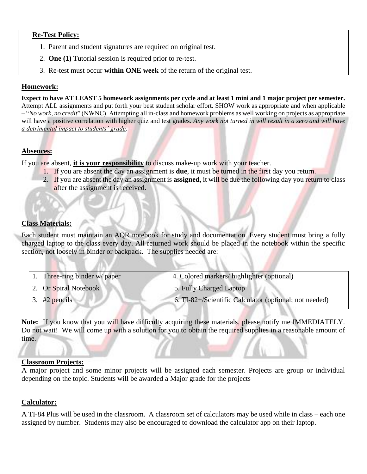## **Re-Test Policy:**

- 1. Parent and student signatures are required on original test.
- 2. **One (1)** Tutorial session is required prior to re-test.
- 3. Re-test must occur **within ONE week** of the return of the original test.

#### **Homework:**

**Expect to have AT LEAST 5 homework assignments per cycle and at least 1 mini and 1 major project per semester.** Attempt ALL assignments and put forth your best student scholar effort. SHOW work as appropriate and when applicable – "*No work, no credit*" (NWNC). Attempting all in-class and homework problems as well working on projects as appropriate will have a positive correlation with higher quiz and test grades. *Any work not turned in will result in a zero and will have a detrimental impact to students' grade*.

# **Absences:**

If you are absent, **it is your responsibility** to discuss make-up work with your teacher.

- 1. If you are absent the day an assignment is **due**, it must be turned in the first day you return.
- 2. If you are absent the day an assignment is **assigned**, it will be due the following day you return to class after the assignment is received.

## **Class Materials:**

Each student must maintain an AQR notebook for study and documentation. Every student must bring a fully charged laptop to the class every day. All returned work should be placed in the notebook within the specific section, not loosely in binder or backpack. The supplies needed are:

| 1. Three-ring binder $w$ paper | 4. Colored markers/highlighter (optional)              |
|--------------------------------|--------------------------------------------------------|
| 2. Or Spiral Notebook          | 5. Fully Charged Laptop                                |
| 3. $#2$ pencils                | 6. TI-82+/Scientific Calculator (optional; not needed) |

**Note:** If you know that you will have difficulty acquiring these materials, please notify me IMMEDIATELY. Do not wait! We will come up with a solution for you to obtain the required supplies in a reasonable amount of time.

#### **Classroom Projects:**

A major project and some minor projects will be assigned each semester. Projects are group or individual depending on the topic. Students will be awarded a Major grade for the projects

#### **Calculator:**

A TI-84 Plus will be used in the classroom. A classroom set of calculators may be used while in class – each one assigned by number. Students may also be encouraged to download the calculator app on their laptop.